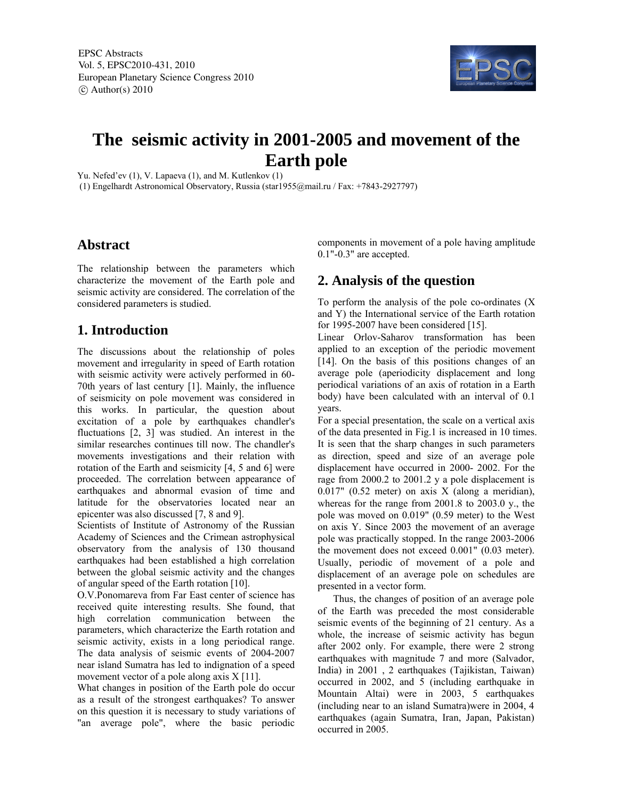EPSC Abstracts Vol. 5, EPSC2010-431, 2010 European Planetary Science Congress 2010  $\circ$  Author(s) 2010



# **The seismic activity in 2001-2005 and movement of the Earth pole**

Yu. Nefed'ev (1), V. Lapaeva (1), and M. Kutlenkov (1)

(1) Engelhardt Astronomical Observatory, Russia (star1955@mail.ru / Fax: +7843-2927797)

#### **Abstract**

The relationship between the parameters which characterize the movement of the Earth pole and seismic activity are considered. The correlation of the considered parameters is studied.

## **1. Introduction**

The discussions about the relationship of poles movement and irregularity in speed of Earth rotation with seismic activity were actively performed in 60- 70th years of last century [1]. Mainly, the influence of seismicity on pole movement was considered in this works. In particular, the question about excitation of a pole by earthquakes chandler's fluctuations [2, 3] was studied. An interest in the similar researches continues till now. The chandler's movements investigations and their relation with rotation of the Earth and seismicity [4, 5 and 6] were proceeded. The correlation between appearance of earthquakes and abnormal evasion of time and latitude for the observatories located near an epicenter was also discussed [7, 8 and 9].

Scientists of Institute of Astronomy of the Russian Academy of Sciences and the Crimean astrophysical observatory from the analysis of 130 thousand earthquakes had been established a high correlation between the global seismic activity and the changes of angular speed of the Earth rotation [10].

O.V.Ponomareva from Far East center of science has received quite interesting results. She found, that high correlation communication between the parameters, which characterize the Earth rotation and seismic activity, exists in a long periodical range. The data analysis of seismic events of 2004-2007 near island Sumatra has led to indignation of a speed movement vector of a pole along axis X [11].

What changes in position of the Earth pole do occur as a result of the strongest earthquakes? To answer on this question it is necessary to study variations of "an average pole", where the basic periodic components in movement of a pole having amplitude 0.1"-0.3" are accepted.

## **2. Analysis of the question**

To perform the analysis of the pole co-ordinates (X and Y) the International service of the Earth rotation for 1995-2007 have been considered [15].

Linear Orlov-Saharov transformation has been applied to an exception of the periodic movement [14]. On the basis of this positions changes of an average pole (aperiodicity displacement and long periodical variations of an axis of rotation in a Earth body) have been calculated with an interval of 0.1 years.

For a special presentation, the scale on a vertical axis of the data presented in Fig.1 is increased in 10 times. It is seen that the sharp changes in such parameters as direction, speed and size of an average pole displacement have occurred in 2000- 2002. For the rage from 2000.2 to 2001.2 у a pole displacement is 0.017" (0.52 meter) on axis X (along a meridian), whereas for the range from 2001.8 to 2003.0 y., the pole was moved on 0.019" (0.59 meter) to the West on axis Y. Since 2003 the movement of an average pole was practically stopped. In the range 2003-2006 the movement does not exceed 0.001" (0.03 meter). Usually, periodic of movement of a pole and displacement of an average pole on schedules are presented in a vector form.

Thus, the changes of position of an average pole of the Earth was preceded the most considerable seismic events of the beginning of 21 century. As a whole, the increase of seismic activity has begun after 2002 only. For example, there were 2 strong earthquakes with magnitude 7 and more (Salvador, India) in 2001 , 2 earthquakes (Tajikistan, Taiwan) occurred in 2002, and 5 (including earthquake in Mountain Altai) were in 2003, 5 earthquakes (including near to an island Sumatra)were in 2004, 4 earthquakes (again Sumatra, Iran, Japan, Pakistan) occurred in 2005.